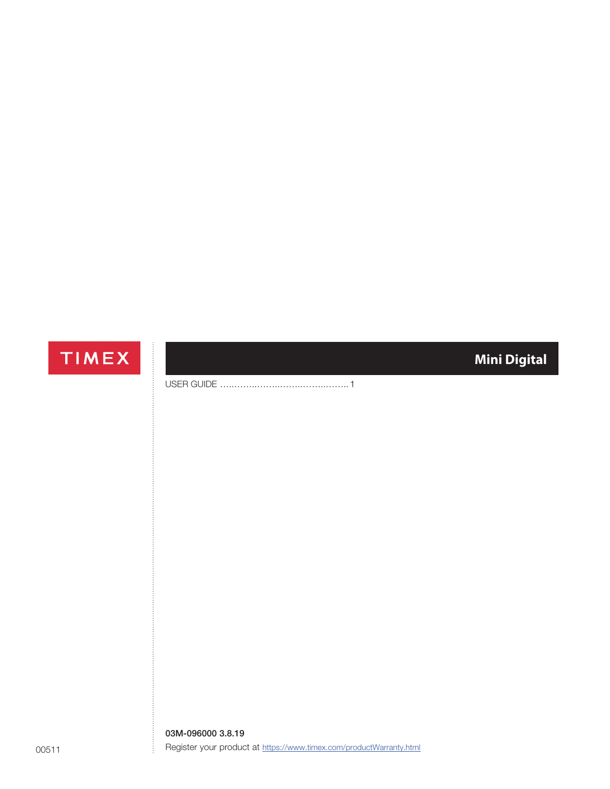# TIMEX

# **Mini Digital**

USER GUIDE …………………………………………………………… 1

03M-096000 3.8.19 Register your product at https://www.timex.com/productWarranty.html

Ĵ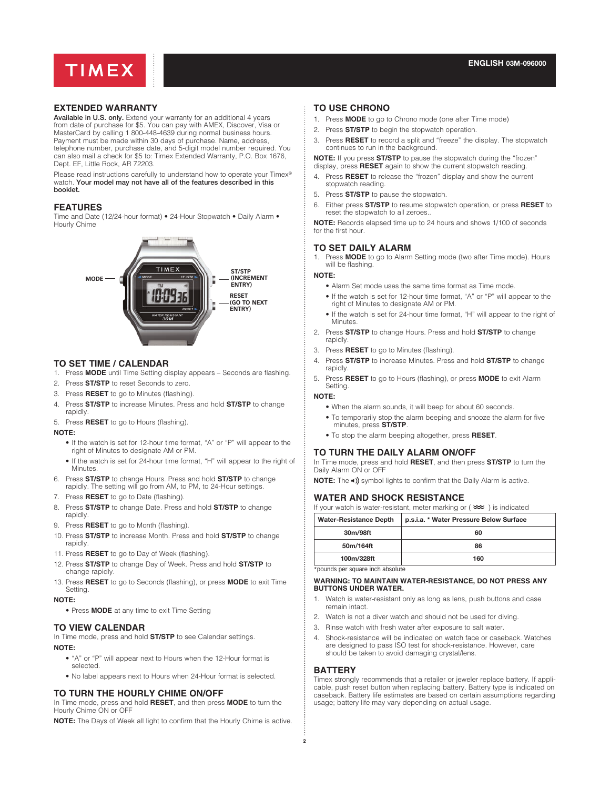

# **EXTENDED WARRANTY**

Available in U.S. only. Extend your warranty for an additional 4 years from date of purchase for \$5. You can pay with AMEX, Discover, Visa or MasterCard by calling 1 800-448-4639 during normal business hours. Payment must be made within 30 days of purchase. Name, address, telephone number, purchase date, and 5-digit model number required. You can also mail a check for \$5 to: Timex Extended Warranty, P.O. Box 1676, Dept. EF, Little Rock, AR 72203.

Please read instructions carefully to understand how to operate your Timex® watch. Your model may not have all of the features described in this booklet.

# **FEATURES**

Time and Date (12/24-hour format) • 24-Hour Stopwatch • Daily Alarm • Hourly Chime



#### **TO SET TIME / CALENDAR**

- 1. Press **MODE** until Time Setting display appears Seconds are flashing.
- 2. Press **ST/STP** to reset Seconds to zero.
- 3. Press **RESET** to go to Minutes (flashing).
- 4. Press **ST/STP** to increase Minutes. Press and hold **ST/STP** to change rapidly.
- 5. Press **RESET** to go to Hours (flashing).

#### **NOTE:**

- If the watch is set for 12-hour time format, "A" or "P" will appear to the right of Minutes to designate AM or PM.
- If the watch is set for 24-hour time format, "H" will appear to the right of Minutes.
- 6. Press **ST/STP** to change Hours. Press and hold **ST/STP** to change rapidly. The setting will go from AM, to PM, to 24-Hour settings.
- 7. Press **RESET** to go to Date (flashing).
- 8. Press **ST/STP** to change Date. Press and hold **ST/STP** to change rapidly.
- 9. Press **RESET** to go to Month (flashing).
- 10. Press **ST/STP** to increase Month. Press and hold **ST/STP** to change rapidly.
- 11. Press **RESET** to go to Day of Week (flashing).
- 12. Press **ST/STP** to change Day of Week. Press and hold **ST/STP** to change rapidly.
- 13. Press **RESET** to go to Seconds (flashing), or press **MODE** to exit Time Setting.

#### **NOTE:**

• Press **MODE** at any time to exit Time Setting

#### **TO VIEW CALENDAR**

In Time mode, press and hold **ST/STP** to see Calendar settings. **NOTE:**

- "A" or "P" will appear next to Hours when the 12-Hour format is selected.
- No label appears next to Hours when 24-Hour format is selected.

# **TO TURN THE HOURLY CHIME ON/OFF**

In Time mode, press and hold **RESET**, and then press **MODE** to turn the Hourly Chime ON or OFF

**NOTE:** The Days of Week all light to confirm that the Hourly Chime is active.

### **TO USE CHRONO**

- 1. Press **MODE** to go to Chrono mode (one after Time mode)
- 2. Press **ST/STP** to begin the stopwatch operation.
- 3. Press **RESET** to record a split and "freeze" the display. The stopwatch continues to run in the background.

**NOTE:** If you press **ST/STP** to pause the stopwatch during the "frozen" display, press **RESET** again to show the current stopwatch reading.

- 4. Press **RESET** to release the "frozen" display and show the current stopwatch reading.
- 5. Press **ST/STP** to pause the stopwatch.
- 6. Either press **ST/STP** to resume stopwatch operation, or press **RESET** to reset the stopwatch to all zeroes..

**NOTE:** Records elapsed time up to 24 hours and shows 1/100 of seconds for the first hour.

### **TO SET DAILY ALARM**

Press MODE to go to Alarm Setting mode (two after Time mode). Hours will be flashing

### **NOTE:**

- Alarm Set mode uses the same time format as Time mode.
- If the watch is set for 12-hour time format, "A" or "P" will appear to the right of Minutes to designate AM or PM.
- If the watch is set for 24-hour time format, "H" will appear to the right of **Minutes**
- 2. Press **ST/STP** to change Hours. Press and hold **ST/STP** to change rapidly.
- 3. Press **RESET** to go to Minutes (flashing).
- 4. Press **ST/STP** to increase Minutes. Press and hold **ST/STP** to change rapidly.
- 5. Press **RESET** to go to Hours (flashing), or press **MODE** to exit Alarm Setting.

#### **NOTE:**

- When the alarm sounds, it will beep for about 60 seconds.
- To temporarily stop the alarm beeping and snooze the alarm for five minutes, press **ST/STP**.
- To stop the alarm beeping altogether, press **RESET**.

# **TO TURN THE DAILY ALARM ON/OFF**

In Time mode, press and hold **RESET**, and then press **ST/STP** to turn the Daily Alarm ON or OFF

**NOTE:** The  $\triangleleft$ ) symbol lights to confirm that the Daily Alarm is active.

### **WATER AND SHOCK RESISTANCE**

If your watch is water-resistant, meter marking or  $(\infty)$  is indicated

| <b>Water-Resistance Depth</b> | p.s.i.a. * Water Pressure Below Surface |
|-------------------------------|-----------------------------------------|
| 30m/98ft                      | 60                                      |
| 50m/164ft                     | 86                                      |
| 100m/328ft                    | 160                                     |

\*pounds per square inch absolute

#### **WARNING: TO MAINTAIN WATER-RESISTANCE, DO NOT PRESS ANY BUTTONS UNDER WATER.**

- 1. Watch is water-resistant only as long as lens, push buttons and case remain intact.
- 2. Watch is not a diver watch and should not be used for diving.
- 3. Rinse watch with fresh water after exposure to salt water.
- 4. Shock-resistance will be indicated on watch face or caseback. Watches are designed to pass ISO test for shock-resistance. However, care should be taken to avoid damaging crystal/lens.

#### **BATTERY**

Timex strongly recommends that a retailer or jeweler replace battery. If applicable, push reset button when replacing battery. Battery type is indicated on caseback. Battery life estimates are based on certain assumptions regarding usage; battery life may vary depending on actual usage.